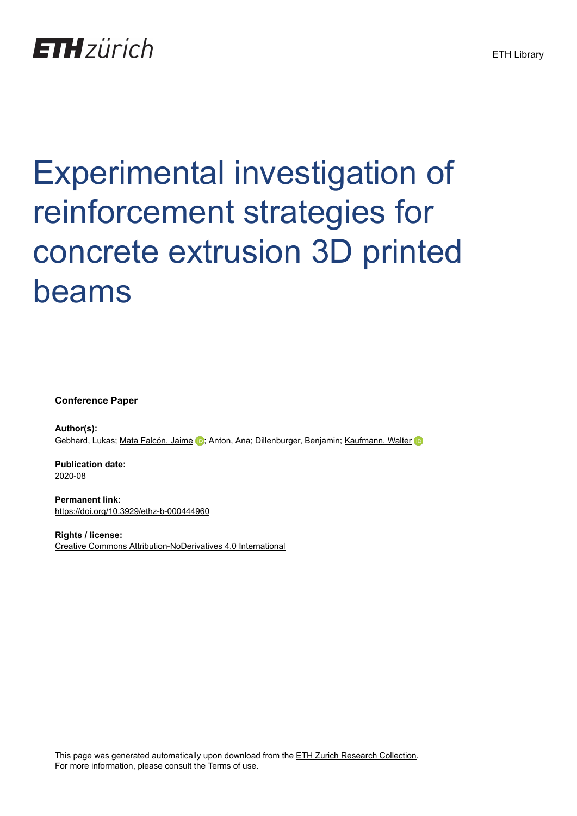## **ETH**zürich

# Experimental investigation of reinforcement strategies for concrete extrusion 3D printed beams

**Conference Paper**

**Author(s):** Gebhard, Lukas; [Mata Falcón, Jaime](https://orcid.org/0000-0001-8701-4410) D; Anton, Ana; Dillenburger, Benjamin; [Kaufmann, Walter](https://orcid.org/0000-0002-8415-4896)

**Publication date:** 2020-08

**Permanent link:** <https://doi.org/10.3929/ethz-b-000444960>

**Rights / license:** [Creative Commons Attribution-NoDerivatives 4.0 International](http://creativecommons.org/licenses/by-nd/4.0/)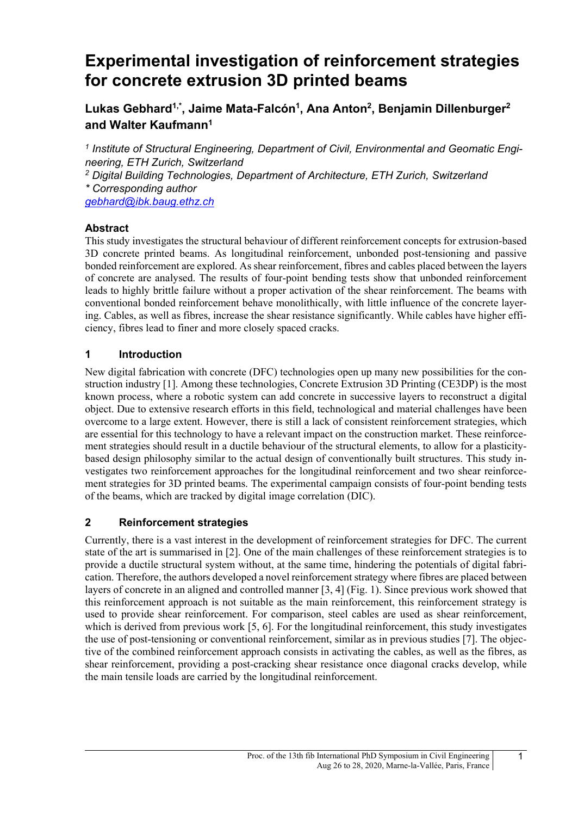### **Experimental investigation of reinforcement strategies for concrete extrusion 3D printed beams**

**Lukas Gebhard1,\*, Jaime Mata-Falcón1, Ana Anton2, Benjamin Dillenburger2 and Walter Kaufmann1**

*<sup>1</sup> Institute of Structural Engineering, Department of Civil, Environmental and Geomatic Engineering, ETH Zurich, Switzerland <sup>2</sup> Digital Building Technologies, Department of Architecture, ETH Zurich, Switzerland \* Corresponding author [gebhard@ibk.baug.ethz.ch](mailto:gebhard@ibk.baug.ethz.ch)*

#### **Abstract**

This study investigates the structural behaviour of different reinforcement concepts for extrusion-based 3D concrete printed beams. As longitudinal reinforcement, unbonded post-tensioning and passive bonded reinforcement are explored. As shear reinforcement, fibres and cables placed between the layers of concrete are analysed. The results of four-point bending tests show that unbonded reinforcement leads to highly brittle failure without a proper activation of the shear reinforcement. The beams with conventional bonded reinforcement behave monolithically, with little influence of the concrete layering. Cables, as well as fibres, increase the shear resistance significantly. While cables have higher efficiency, fibres lead to finer and more closely spaced cracks.

#### **1 Introduction**

New digital fabrication with concrete (DFC) technologies open up many new possibilities for the construction industry [1]. Among these technologies, Concrete Extrusion 3D Printing (CE3DP) is the most known process, where a robotic system can add concrete in successive layers to reconstruct a digital object. Due to extensive research efforts in this field, technological and material challenges have been overcome to a large extent. However, there is still a lack of consistent reinforcement strategies, which are essential for this technology to have a relevant impact on the construction market. These reinforcement strategies should result in a ductile behaviour of the structural elements, to allow for a plasticitybased design philosophy similar to the actual design of conventionally built structures. This study investigates two reinforcement approaches for the longitudinal reinforcement and two shear reinforcement strategies for 3D printed beams. The experimental campaign consists of four-point bending tests of the beams, which are tracked by digital image correlation (DIC).

#### **2 Reinforcement strategies**

Currently, there is a vast interest in the development of reinforcement strategies for DFC. The current state of the art is summarised in [2]. One of the main challenges of these reinforcement strategies is to provide a ductile structural system without, at the same time, hindering the potentials of digital fabrication. Therefore, the authors developed a novel reinforcement strategy where fibres are placed between layers of concrete in an aligned and controlled manner [3, 4] [\(Fig. 1\)](#page-2-0). Since previous work showed that this reinforcement approach is not suitable as the main reinforcement, this reinforcement strategy is used to provide shear reinforcement. For comparison, steel cables are used as shear reinforcement, which is derived from previous work [5, 6]. For the longitudinal reinforcement, this study investigates the use of post-tensioning or conventional reinforcement, similar as in previous studies [7]. The objective of the combined reinforcement approach consists in activating the cables, as well as the fibres, as shear reinforcement, providing a post-cracking shear resistance once diagonal cracks develop, while the main tensile loads are carried by the longitudinal reinforcement.

1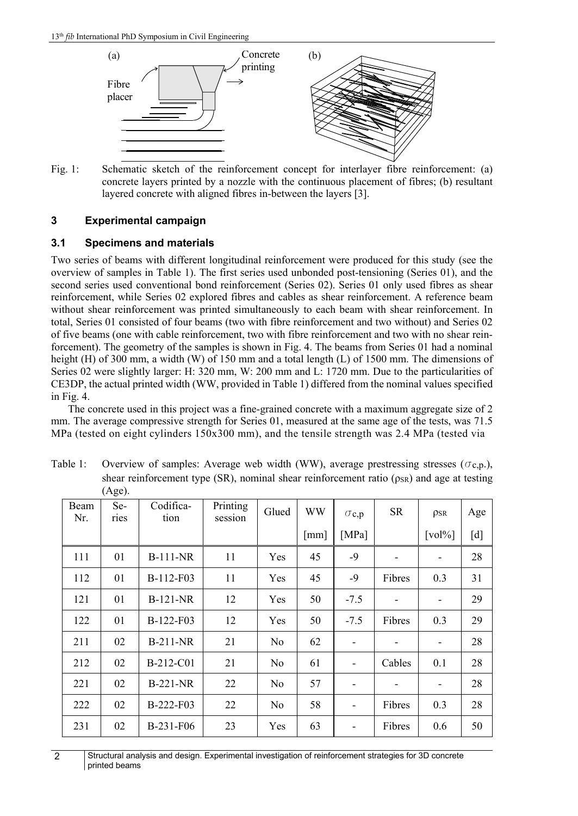

<span id="page-2-0"></span>Fig. 1: Schematic sketch of the reinforcement concept for interlayer fibre reinforcement: (a) concrete layers printed by a nozzle with the continuous placement of fibres; (b) resultant layered concrete with aligned fibres in-between the layers [3].

#### **3 Experimental campaign**

#### **3.1 Specimens and materials**

Two series of beams with different longitudinal reinforcement were produced for this study (see the overview of samples in [Table 1\)](#page-2-1). The first series used unbonded post-tensioning (Series 01), and the second series used conventional bond reinforcement (Series 02). Series 01 only used fibres as shear reinforcement, while Series 02 explored fibres and cables as shear reinforcement. A reference beam without shear reinforcement was printed simultaneously to each beam with shear reinforcement. In total, Series 01 consisted of four beams (two with fibre reinforcement and two without) and Series 02 of five beams (one with cable reinforcement, two with fibre reinforcement and two with no shear reinforcement). The geometry of the samples is shown in [Fig. 4.](#page-5-0) The beams from Series 01 had a nominal height (H) of 300 mm, a width (W) of 150 mm and a total length (L) of 1500 mm. The dimensions of Series 02 were slightly larger: H: 320 mm, W: 200 mm and L: 1720 mm. Due to the particularities of CE3DP, the actual printed width (WW, provided i[n Table 1\)](#page-2-1) differed from the nominal values specified in [Fig. 4.](#page-5-0)

The concrete used in this project was a fine-grained concrete with a maximum aggregate size of 2 mm. The average compressive strength for Series 01, measured at the same age of the tests, was 71.5 MPa (tested on eight cylinders 150x300 mm), and the tensile strength was 2.4 MPa (tested via

| Beam<br>Nr. | Se-<br>ries | Codifica-<br>tion | Printing<br>session | Glued          | WW   | $\sigma$ c,p             | SR                       | <b>PSR</b>                   | Age |
|-------------|-------------|-------------------|---------------------|----------------|------|--------------------------|--------------------------|------------------------------|-----|
|             |             |                   |                     |                | [mm] | [MPa]                    |                          | $\lceil vol\% \rceil$        | [d] |
| 111         | 01          | <b>B-111-NR</b>   | 11                  | Yes            | 45   | $-9$                     | $\overline{\phantom{a}}$ | -                            | 28  |
| 112         | 01          | B-112-F03         | 11                  | Yes            | 45   | -9                       | Fibres                   | 0.3                          | 31  |
| 121         | 01          | $B-121-NR$        | 12                  | Yes            | 50   | $-7.5$                   | $\overline{\phantom{a}}$ | ٠                            | 29  |
| 122         | 01          | $B-122-F03$       | 12                  | Yes            | 50   | $-7.5$                   | Fibres                   | 0.3                          | 29  |
| 211         | 02          | $B-211-NR$        | 21                  | N <sub>o</sub> | 62   | $\overline{\phantom{0}}$ | $\overline{\phantom{a}}$ | -                            | 28  |
| 212         | 02          | B-212-C01         | 21                  | N <sub>o</sub> | 61   |                          | Cables                   | 0.1                          | 28  |
| 221         | 02          | $B-221-NR$        | 22                  | N <sub>o</sub> | 57   | $\overline{\phantom{0}}$ | $\overline{\phantom{a}}$ | $\qquad \qquad \blacksquare$ | 28  |
| 222         | 02          | $B-222-F03$       | 22                  | N <sub>o</sub> | 58   | $\overline{\phantom{0}}$ | Fibres                   | 0.3                          | 28  |
| 231         | 02          | B-231-F06         | 23                  | Yes            | 63   |                          | Fibres                   | 0.6                          | 50  |

<span id="page-2-1"></span>Table 1: Overview of samples: Average web width (WW), average prestressing stresses ( $(\sigma_{c,p.})$ , shear reinforcement type (SR), nominal shear reinforcement ratio ( $\rho_{SR}$ ) and age at testing (Age).

2 Structural analysis and design. Experimental investigation of reinforcement strategies for 3D concrete printed beams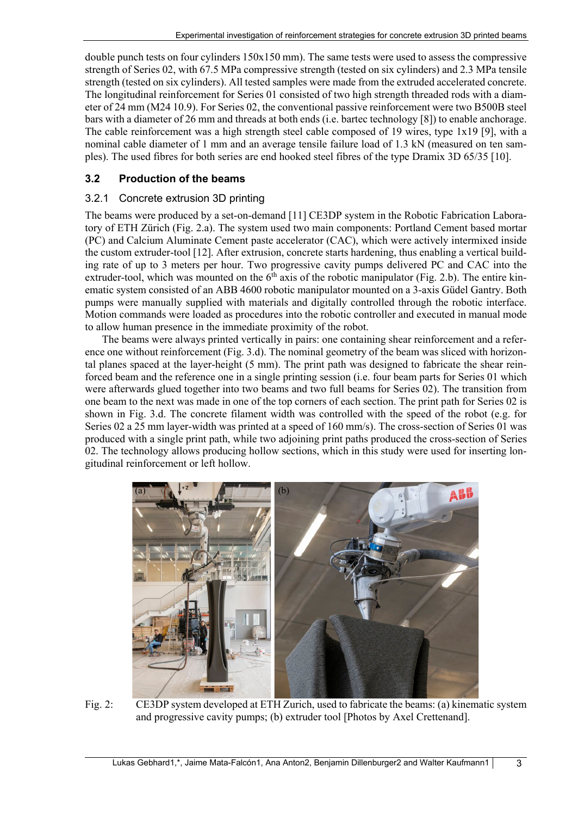double punch tests on four cylinders  $150x150$  mm). The same tests were used to assess the compressive strength of Series 02, with 67.5 MPa compressive strength (tested on six cylinders) and 2.3 MPa tensile strength (tested on six cylinders). All tested samples were made from the extruded accelerated concrete. The longitudinal reinforcement for Series 01 consisted of two high strength threaded rods with a diameter of 24 mm (M24 10.9). For Series 02, the conventional passive reinforcement were two B500B steel bars with a diameter of 26 mm and threads at both ends (i.e. bartec technology [8]) to enable anchorage. The cable reinforcement was a high strength steel cable composed of 19 wires, type 1x19 [9], with a nominal cable diameter of 1 mm and an average tensile failure load of 1.3 kN (measured on ten samples). The used fibres for both series are end hooked steel fibres of the type Dramix 3D 65/35 [10].

#### **3.2 Production of the beams**

#### 3.2.1 Concrete extrusion 3D printing

The beams were produced by a set-on-demand [11] CE3DP system in the Robotic Fabrication Laboratory of ETH Zürich (Fig. 2.a). The system used two main components: Portland Cement based mortar (PC) and Calcium Aluminate Cement paste accelerator (CAC), which were actively intermixed inside the custom extruder-tool [12]. After extrusion, concrete starts hardening, thus enabling a vertical building rate of up to 3 meters per hour. Two progressive cavity pumps delivered PC and CAC into the extruder-tool, which was mounted on the  $6<sup>th</sup>$  axis of the robotic manipulator (Fig. 2.b). The entire kinematic system consisted of an ABB 4600 robotic manipulator mounted on a 3-axis Güdel Gantry. Both pumps were manually supplied with materials and digitally controlled through the robotic interface. Motion commands were loaded as procedures into the robotic controller and executed in manual mode to allow human presence in the immediate proximity of the robot.

The beams were always printed vertically in pairs: one containing shear reinforcement and a reference one without reinforcement [\(Fig. 3.](#page-4-0)d). The nominal geometry of the beam was sliced with horizontal planes spaced at the layer-height (5 mm). The print path was designed to fabricate the shear reinforced beam and the reference one in a single printing session (i.e. four beam parts for Series 01 which were afterwards glued together into two beams and two full beams for Series 02). The transition from one beam to the next was made in one of the top corners of each section. The print path for Series 02 is shown in [Fig. 3.d](#page-4-0). The concrete filament width was controlled with the speed of the robot (e.g. for Series 02 a 25 mm layer-width was printed at a speed of 160 mm/s). The cross-section of Series 01 was produced with a single print path, while two adjoining print paths produced the cross-section of Series 02. The technology allows producing hollow sections, which in this study were used for inserting longitudinal reinforcement or left hollow.



Fig. 2: CE3DP system developed at ETH Zurich, used to fabricate the beams: (a) kinematic system and progressive cavity pumps; (b) extruder tool [Photos by Axel Crettenand].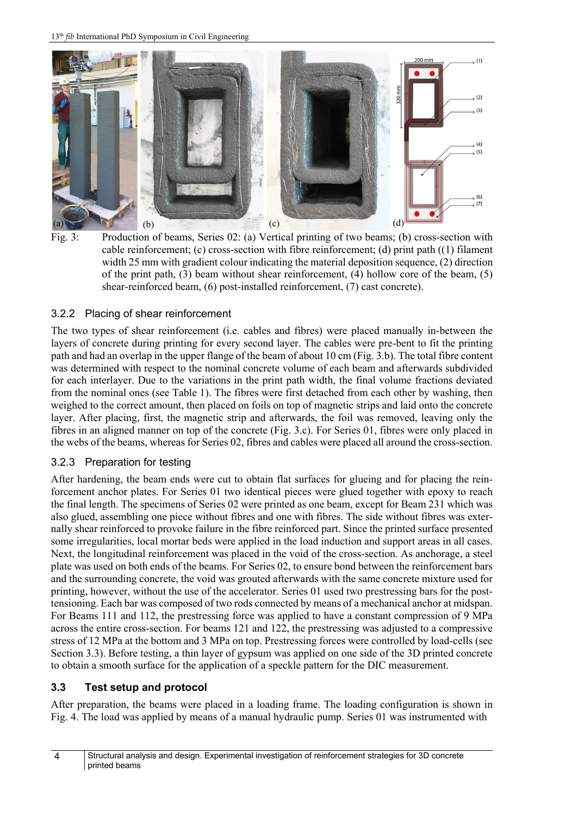

<span id="page-4-0"></span>Fig. 3: Production of beams, Series 02: (a) Vertical printing of two beams; (b) cross-section with cable reinforcement; (c) cross-section with fibre reinforcement; (d) print path ((1) filament width 25 mm with gradient colour indicating the material deposition sequence, (2) direction of the print path, (3) beam without shear reinforcement, (4) hollow core of the beam, (5) shear-reinforced beam, (6) post-installed reinforcement, (7) cast concrete).

#### 3.2.2 Placing of shear reinforcement

The two types of shear reinforcement (i.e. cables and fibres) were placed manually in-between the layers of concrete during printing for every second layer. The cables were pre-bent to fit the printing path and had an overlap in the upper flange of the beam of about 10 cm [\(Fig. 3.b](#page-4-0)). The total fibre content was determined with respect to the nominal concrete volume of each beam and afterwards subdivided for each interlayer. Due to the variations in the print path width, the final volume fractions deviated from the nominal ones (see [Table 1\)](#page-2-1). The fibres were first detached from each other by washing, then weighed to the correct amount, then placed on foils on top of magnetic strips and laid onto the concrete layer. After placing, first, the magnetic strip and afterwards, the foil was removed, leaving only the fibres in an aligned manner on top of the concrete [\(Fig. 3.](#page-4-0)c). For Series 01, fibres were only placed in the webs of the beams, whereas for Series 02, fibres and cables were placed all around the cross-section.

#### 3.2.3 Preparation for testing

After hardening, the beam ends were cut to obtain flat surfaces for glueing and for placing the reinforcement anchor plates. For Series 01 two identical pieces were glued together with epoxy to reach the final length. The specimens of Series 02 were printed as one beam, except for Beam 231 which was also glued, assembling one piece without fibres and one with fibres. The side without fibres was externally shear reinforced to provoke failure in the fibre reinforced part. Since the printed surface presented some irregularities, local mortar beds were applied in the load induction and support areas in all cases. Next, the longitudinal reinforcement was placed in the void of the cross-section. As anchorage, a steel plate was used on both ends of the beams. For Series 02, to ensure bond between the reinforcement bars and the surrounding concrete, the void was grouted afterwards with the same concrete mixture used for printing, however, without the use of the accelerator. Series 01 used two prestressing bars for the posttensioning. Each bar was composed of two rods connected by means of a mechanical anchor at midspan. For Beams 111 and 112, the prestressing force was applied to have a constant compression of 9 MPa across the entire cross-section. For beams 121 and 122, the prestressing was adjusted to a compressive stress of 12 MPa at the bottom and 3 MPa on top. Prestressing forces were controlled by load-cells (see Section [3.3\)](#page-4-1). Before testing, a thin layer of gypsum was applied on one side of the 3D printed concrete to obtain a smooth surface for the application of a speckle pattern for the DIC measurement.

#### <span id="page-4-1"></span>**3.3 Test setup and protocol**

After preparation, the beams were placed in a loading frame. The loading configuration is shown in [Fig. 4.](#page-5-0) The load was applied by means of a manual hydraulic pump. Series 01 was instrumented with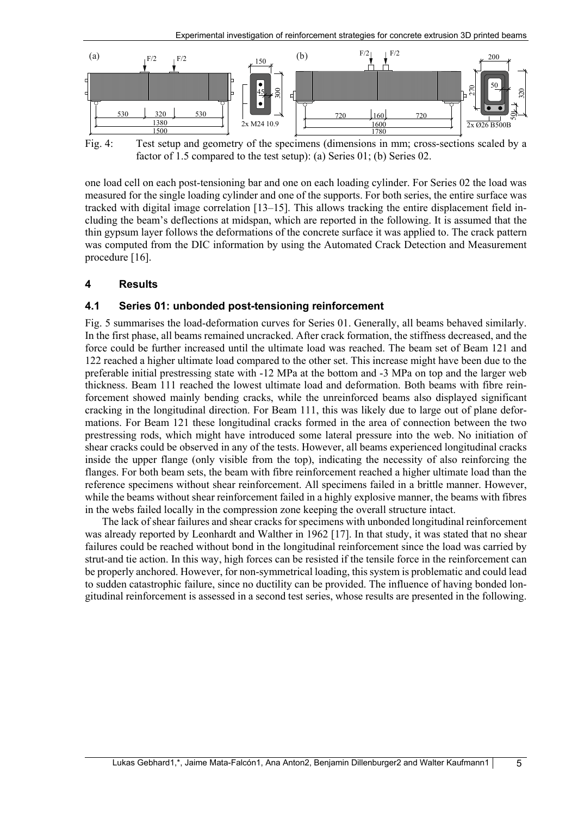

<span id="page-5-0"></span>Fig. 4: Test setup and geometry of the specimens (dimensions in mm; cross-sections scaled by a factor of 1.5 compared to the test setup): (a) Series 01; (b) Series 02.

one load cell on each post-tensioning bar and one on each loading cylinder. For Series 02 the load was measured for the single loading cylinder and one of the supports. For both series, the entire surface was tracked with digital image correlation [13–15]. This allows tracking the entire displacement field including the beam's deflections at midspan, which are reported in the following. It is assumed that the thin gypsum layer follows the deformations of the concrete surface it was applied to. The crack pattern was computed from the DIC information by using the Automated Crack Detection and Measurement procedure [16].

#### **4 Results**

#### **4.1 Series 01: unbonded post-tensioning reinforcement**

[Fig. 5](#page-6-0) summarises the load-deformation curves for Series 01. Generally, all beams behaved similarly. In the first phase, all beams remained uncracked. After crack formation, the stiffness decreased, and the force could be further increased until the ultimate load was reached. The beam set of Beam 121 and 122 reached a higher ultimate load compared to the other set. This increase might have been due to the preferable initial prestressing state with -12 MPa at the bottom and -3 MPa on top and the larger web thickness. Beam 111 reached the lowest ultimate load and deformation. Both beams with fibre reinforcement showed mainly bending cracks, while the unreinforced beams also displayed significant cracking in the longitudinal direction. For Beam 111, this was likely due to large out of plane deformations. For Beam 121 these longitudinal cracks formed in the area of connection between the two prestressing rods, which might have introduced some lateral pressure into the web. No initiation of shear cracks could be observed in any of the tests. However, all beams experienced longitudinal cracks inside the upper flange (only visible from the top), indicating the necessity of also reinforcing the flanges. For both beam sets, the beam with fibre reinforcement reached a higher ultimate load than the reference specimens without shear reinforcement. All specimens failed in a brittle manner. However, while the beams without shear reinforcement failed in a highly explosive manner, the beams with fibres in the webs failed locally in the compression zone keeping the overall structure intact.

The lack of shear failures and shear cracks for specimens with unbonded longitudinal reinforcement was already reported by Leonhardt and Walther in 1962 [17]. In that study, it was stated that no shear failures could be reached without bond in the longitudinal reinforcement since the load was carried by strut-and tie action. In this way, high forces can be resisted if the tensile force in the reinforcement can be properly anchored. However, for non-symmetrical loading, this system is problematic and could lead to sudden catastrophic failure, since no ductility can be provided. The influence of having bonded longitudinal reinforcement is assessed in a second test series, whose results are presented in the following.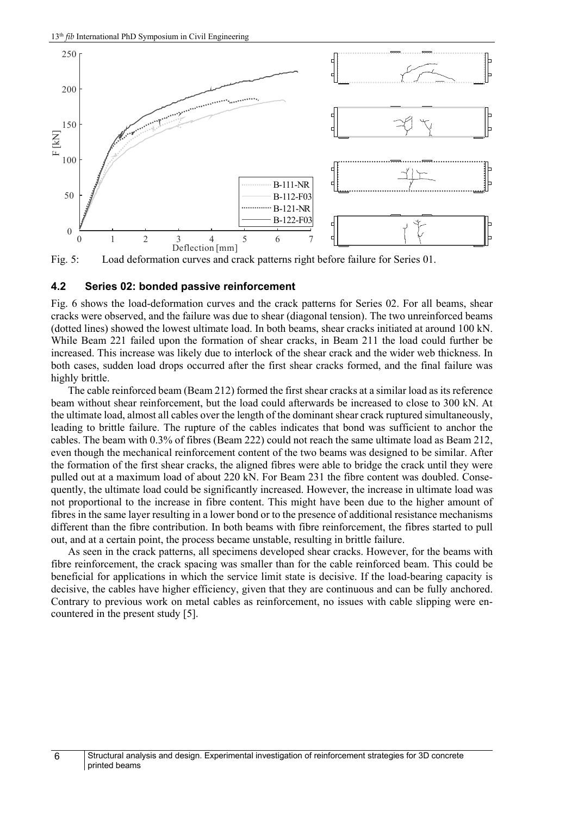

<span id="page-6-0"></span>Fig. 5: Load deformation curves and crack patterns right before failure for Series 01.

#### **4.2 Series 02: bonded passive reinforcement**

[Fig. 6](#page-7-0) shows the load-deformation curves and the crack patterns for Series 02. For all beams, shear cracks were observed, and the failure was due to shear (diagonal tension). The two unreinforced beams (dotted lines) showed the lowest ultimate load. In both beams, shear cracks initiated at around 100 kN. While Beam 221 failed upon the formation of shear cracks, in Beam 211 the load could further be increased. This increase was likely due to interlock of the shear crack and the wider web thickness. In both cases, sudden load drops occurred after the first shear cracks formed, and the final failure was highly brittle.

The cable reinforced beam (Beam 212) formed the first shear cracks at a similar load as its reference beam without shear reinforcement, but the load could afterwards be increased to close to 300 kN. At the ultimate load, almost all cables over the length of the dominant shear crack ruptured simultaneously, leading to brittle failure. The rupture of the cables indicates that bond was sufficient to anchor the cables. The beam with 0.3% of fibres (Beam 222) could not reach the same ultimate load as Beam 212, even though the mechanical reinforcement content of the two beams was designed to be similar. After the formation of the first shear cracks, the aligned fibres were able to bridge the crack until they were pulled out at a maximum load of about 220 kN. For Beam 231 the fibre content was doubled. Consequently, the ultimate load could be significantly increased. However, the increase in ultimate load was not proportional to the increase in fibre content. This might have been due to the higher amount of fibres in the same layer resulting in a lower bond or to the presence of additional resistance mechanisms different than the fibre contribution. In both beams with fibre reinforcement, the fibres started to pull out, and at a certain point, the process became unstable, resulting in brittle failure.

As seen in the crack patterns, all specimens developed shear cracks. However, for the beams with fibre reinforcement, the crack spacing was smaller than for the cable reinforced beam. This could be beneficial for applications in which the service limit state is decisive. If the load-bearing capacity is decisive, the cables have higher efficiency, given that they are continuous and can be fully anchored. Contrary to previous work on metal cables as reinforcement, no issues with cable slipping were encountered in the present study [5].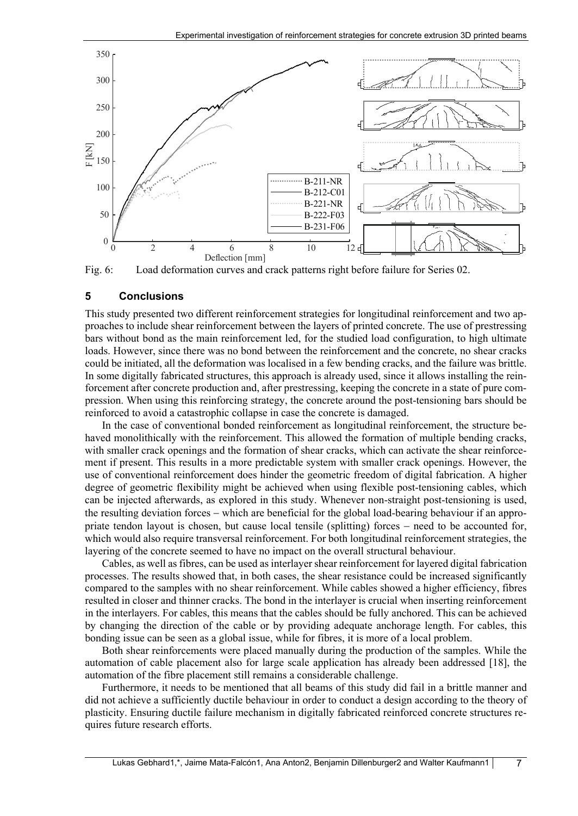

<span id="page-7-0"></span>Fig. 6: Load deformation curves and crack patterns right before failure for Series 02.

#### **5 Conclusions**

This study presented two different reinforcement strategies for longitudinal reinforcement and two approaches to include shear reinforcement between the layers of printed concrete. The use of prestressing bars without bond as the main reinforcement led, for the studied load configuration, to high ultimate loads. However, since there was no bond between the reinforcement and the concrete, no shear cracks could be initiated, all the deformation was localised in a few bending cracks, and the failure was brittle. In some digitally fabricated structures, this approach is already used, since it allows installing the reinforcement after concrete production and, after prestressing, keeping the concrete in a state of pure compression. When using this reinforcing strategy, the concrete around the post-tensioning bars should be reinforced to avoid a catastrophic collapse in case the concrete is damaged.

In the case of conventional bonded reinforcement as longitudinal reinforcement, the structure behaved monolithically with the reinforcement. This allowed the formation of multiple bending cracks, with smaller crack openings and the formation of shear cracks, which can activate the shear reinforcement if present. This results in a more predictable system with smaller crack openings. However, the use of conventional reinforcement does hinder the geometric freedom of digital fabrication. A higher degree of geometric flexibility might be achieved when using flexible post-tensioning cables, which can be injected afterwards, as explored in this study. Whenever non-straight post-tensioning is used, the resulting deviation forces − which are beneficial for the global load-bearing behaviour if an appropriate tendon layout is chosen, but cause local tensile (splitting) forces − need to be accounted for, which would also require transversal reinforcement. For both longitudinal reinforcement strategies, the layering of the concrete seemed to have no impact on the overall structural behaviour.

Cables, as well as fibres, can be used as interlayershear reinforcement for layered digital fabrication processes. The results showed that, in both cases, the shear resistance could be increased significantly compared to the samples with no shear reinforcement. While cables showed a higher efficiency, fibres resulted in closer and thinner cracks. The bond in the interlayer is crucial when inserting reinforcement in the interlayers. For cables, this means that the cables should be fully anchored. This can be achieved by changing the direction of the cable or by providing adequate anchorage length. For cables, this bonding issue can be seen as a global issue, while for fibres, it is more of a local problem.

Both shear reinforcements were placed manually during the production of the samples. While the automation of cable placement also for large scale application has already been addressed [18], the automation of the fibre placement still remains a considerable challenge.

Furthermore, it needs to be mentioned that all beams of this study did fail in a brittle manner and did not achieve a sufficiently ductile behaviour in order to conduct a design according to the theory of plasticity. Ensuring ductile failure mechanism in digitally fabricated reinforced concrete structures requires future research efforts.